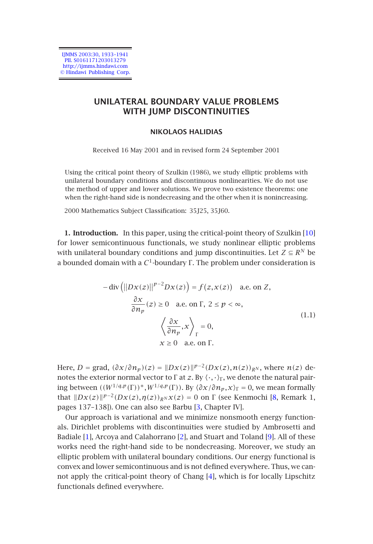IJMMS 2003:30, 1933–1941 PII. S0161171203013279 http://ijmms.hindawi.com © Hindawi Publishing Corp.

# **UNILATERAL BOUNDARY VALUE PROBLEMS WITH JUMP DISCONTINUITIES**

## <span id="page-0-0"></span>**NIKOLAOS HALIDIAS**

Received 16 May 2001 and in revised form 24 September 2001

Using the critical point theory of Szulkin (1986), we study elliptic problems with unilateral boundary conditions and discontinuous nonlinearities. We do not use the method of upper and lower solutions. We prove two existence theorems: one when the right-hand side is nondecreasing and the other when it is nonincreasing.

2000 Mathematics Subject Classification: 35J25, 35J60.

**1. Introduction.** In this paper, using the critical-point theory of Szulkin [10] for lower semicontinuous functionals, we study nonlinear elliptic problems with unilateral boundary conditions and jump discontinuities. Let  $Z \subseteq R^N$  be a bounded domain with a *C*1-boundary Γ . The problem under consideration is

$$
-\operatorname{div}\left(\left|\left|Dx(z)\right|\right|^{p-2}Dx(z)\right) = f(z, x(z)) \quad \text{a.e. on } Z,
$$

$$
\frac{\partial x}{\partial n_p}(z) \ge 0 \quad \text{a.e. on } \Gamma, \ 2 \le p < \infty,
$$

$$
\left\langle \frac{\partial x}{\partial n_p}, x \right\rangle_{\Gamma} = 0,
$$

$$
x \ge 0 \quad \text{a.e. on } \Gamma.
$$

$$
(1.1)
$$

Here, *D* = grad,  $(\partial x/\partial n_p)(z) = ||Dx(z)||^{p-2}(Dx(z), n(z))_{R^N}$ , where  $n(z)$  denotes the exterior normal vector to  $\Gamma$  at *z*. By  $\langle \cdot, \cdot \rangle_{\Gamma}$ , we denote the natural pairing between  $((W^{1/q,p}(\Gamma))^*, W^{1/q,p}(\Gamma))$ . By  $\langle \partial x/\partial n_p, x \rangle_{\Gamma} = 0$ , we mean formally that  $\|Dx(z)\|^{p-2}(Dx(z),\eta(z))_{R^N}x(z)=0$  on  $\Gamma$  (see Kenmochi [8, Remark 1, pages 137–138]). One can also see Barbu [3, Chapter IV].

Our approach is variational and we minimize nonsmooth energy functionals. Dirichlet problems with discontinuities were studied by Ambrosetti and Badiale [1], Arcoya and Calahorrano [2], and Stuart and Toland [9]. All of these works need the right-hand side to be nondecreasing. Moreover, we study an elliptic problem with unilateral boundary conditions. Our energy functional is convex and lower semicontinuous and is not defined everywhere. Thus, we cannot apply the critical-point theory of Chang [4], which is for locally Lipschitz functionals defined everywhere.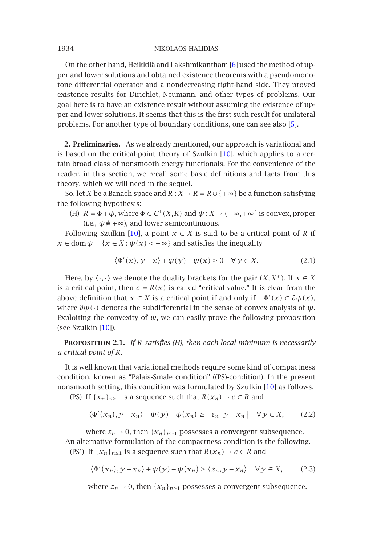On the other hand, Heikkilä and Lakshmikanth[am \[6](#page-8-2)] used the method of upper and lower solutions and obtained existence theorems with a pseudomonotone differential operator and a nondecreasing right-hand side. They proved existence results for Dirichlet, Neumann, and other types of problems. Our goal here is to have an existence result without assuming the existence of upper and lower solutions. It seems that this is the first such result for unilateral problems. For another type of boundary conditions, one can see also [5].

**2. Preliminaries.** [As w](#page-8-2)e already mentioned, our approach is variational and is based on the critical-point theory of Szulkin [10], which applies to a certain broad class of nonsmooth energy functionals. For the convenience of the reader, in this section, we recall some basic definitions and facts from this theory, which we will need in the sequel.

So, let *X* be a Banach space and  $R: X \to \overline{R} = R \cup \{+\infty\}$  be a function satisfying the following hypothesis:

(H)  $R = \Phi + \psi$ , where  $\Phi \in C^1(X, R)$  and  $\psi : X \to (-\infty, +\infty]$  is convex, proper (i.e.,  $\psi \neq +\infty$ ), and lower semicontinuous.

Following Szulkin [10], a point  $x \in X$  is said to be a critical point of R if  $x \in \text{dom } \psi = \{x \in X : \psi(x) < +\infty\}$  $x \in \text{dom } \psi = \{x \in X : \psi(x) < +\infty\}$  $x \in \text{dom } \psi = \{x \in X : \psi(x) < +\infty\}$  and satisfies the inequality

$$
\langle \Phi'(x), y - x \rangle + \psi(y) - \psi(x) \ge 0 \quad \forall y \in X. \tag{2.1}
$$

Here, by  $\langle \cdot, \cdot \rangle$  we denote the duality brackets for the pair  $(X, X^*)$ . If  $x \in X$ is a critical point, then  $c = R(x)$  is called "critical value." It is clear from the above definition that  $x \in X$  is a critical point if and only if  $-\Phi'(x) \in \partial \psi(x)$  $-\Phi'(x) \in \partial \psi(x)$  $-\Phi'(x) \in \partial \psi(x)$ , where  $\partial \psi(\cdot)$  denotes the subdifferential in the sense of convex analysis of  $\psi$ . Exploiting the convexity of  $\psi$ , we can easily prove the following proposition (see Szulkin [10]).

**Proposition 2.1.** *If R satisfies (H), then each local minimum is necessarily a critical point of R.*

It is well known that variational methods require some kind of compactness condition, known as "Palais-Smale condition" ((PS)-condition). In the present nonsmooth setting, this condition was formulated by Szulkin [10] as follows.

(PS) If  $\{x_n\}_{n\geq 1}$  is a sequence such that  $R(x_n) \to c \in R$  and

$$
\langle \Phi'(x_n), \mathcal{Y} - x_n \rangle + \psi(\mathcal{Y}) - \psi(x_n) \ge -\varepsilon_n ||\mathcal{Y} - x_n|| \quad \forall \mathcal{Y} \in X,
$$
 (2.2)

where  $\varepsilon_n \to 0$ , then  $\{x_n\}_{n \geq 1}$  possesses a convergent subsequence. An alternative formulation of the compactness condition is the following. (PS<sup>'</sup>) If  $\{x_n\}_{n\geq 1}$  is a sequence such that  $R(x_n) \to c \in R$  and

$$
\langle \Phi'(x_n), y - x_n \rangle + \psi(y) - \psi(x_n) \ge \langle z_n, y - x_n \rangle \quad \forall y \in X, \tag{2.3}
$$

where  $z_n \to 0$ , then  $\{x_n\}_{n \geq 1}$  possesses a convergent subsequence.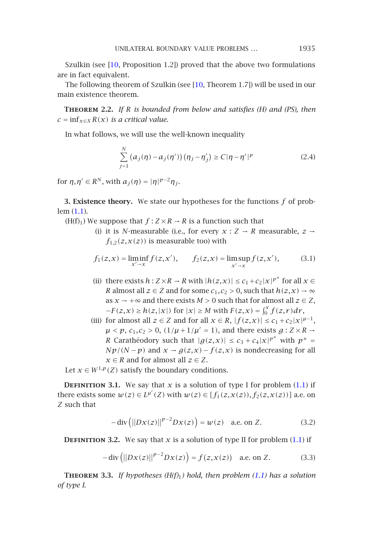UNILATERAL BOUNDARY VALUE PROBLEMS *...* 1935

Szulkin (see  $[10,$  Proposition 1.2]) proved that the above two formulations are in fact equivalent.

The following theorem of Szulkin (see [10, Theorem 1.7]) will be used in our main existence theorem.

**Theorem 2.2.** *If R is bounded from below and satisfies (H) and (PS), then*  $c = \inf_{x \in X} R(x)$  $c = \inf_{x \in X} R(x)$  $c = \inf_{x \in X} R(x)$  *is a critical value.* 

In what follows, we will use the well-known inequality

$$
\sum_{j=1}^{N} (a_j(\eta) - a_j(\eta'))(\eta_j - \eta'_j) \ge C|\eta - \eta'|^{p}
$$
\n(2.4)

for  $\eta, \eta' \in R^N$ , with  $a_i(\eta) = |\eta|^{p-2} \eta_i$ .

**3. Existence theory.** We state our hypotheses for the functions *f* of problem (1.1).

- (H(f)<sub>1</sub>) We suppose that  $f : Z \times R \to R$  is a function such that
	- (i) it is *N*-measurable (i.e., for every  $x : Z \rightarrow R$  measurable,  $z \rightarrow$  $f_{1,2}(z, x(z))$  is measurable too) with

$$
f_1(z,x) = \liminf_{x' \to x} f(z,x'), \qquad f_2(z,x) = \limsup_{x' \to x} f(z,x'), \tag{3.1}
$$

- (ii) there exists  $h: Z \times R \to R$  with  $|h(z, x)| \leq c_1 + c_2 |x|^{p^*}$  for all  $x \in$ *R* almost all  $z \in Z$  and for some  $c_1, c_2 > 0$ , such that  $h(z, x) \to \infty$ as  $x \to +\infty$  and there exists  $M > 0$  such that for almost all  $z \in Z$ , *−F(z,x)* ≥  $h(z, |x|)$  for  $|x|$  ≥ *M* with  $F(z, x) = \int_0^x f(z, r) dr$ ,
- (iii) for almost all  $z \in Z$  and for all  $x \in R$ ,  $|f(z,x)| \leq c_1 + c_2 |x|^{\mu-1}$ ,  $\mu$  < *p*,  $c_1$ ,  $c_2$  > 0,  $(1/\mu + 1/\mu' = 1)$ , and there exists  $g: Z \times R \rightarrow$ *R* Carathéodory such that  $|g(z,x)| \leq c_3 + c_4 |x|^{p^*}$  with  $p^* =$  $Np/(N-p)$  and  $x \rightarrow g(z,x) - f(z,x)$  is nondecreasin[g for](#page-0-0) all  $x \in R$  and for almost all  $z \in Z$ .

Let  $x \in W^{1,p}(Z)$  satisfy the boundary conditions.

<span id="page-2-0"></span>**DEFINITION 3.1.** We say that *x* is a solution of type I [for p](#page-0-0)roblem  $(1.1)$  if there exists some  $w(z) \in L^{\mu'}(Z)$  with  $w(z) \in [f_1(z, x(z)), f_2(z, x(z))]$  a.e. on *Z* such that

$$
-\operatorname{div}\left(\left|\left|Dx(z)\right|\right|^{p-2}Dx(z)\right) = w(z) \quad \text{a.e. on } Z. \tag{3.2}
$$

**DEFINITION 3.2.** We say that *x* is a solution of type II for problem  $(1.1)$  if

$$
- \operatorname{div} (||Dx(z)||^{p-2} Dx(z)) = f(z, x(z)) \quad \text{a.e. on } Z. \tag{3.3}
$$

**Theorem 3.3.** *If hypotheses (H(f)*1*) hold, then problem (1.1) has a solution of type I.*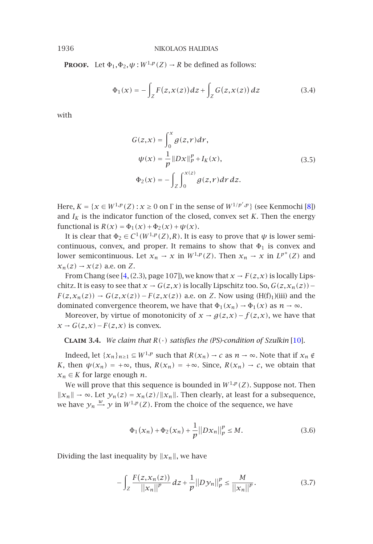**PROOF.** Let  $\Phi_1, \Phi_2, \psi : W^{1,p}(Z) \to R$  be defined as follows:

$$
\Phi_1(x) = -\int_Z F(z, x(z)) dz + \int_Z G(z, x(z)) dz \tag{3.4}
$$

with

$$
G(z,x) = \int_0^x g(z,r) dr,
$$
  
\n
$$
\psi(x) = \frac{1}{p} ||Dx||_p^p + I_K(x),
$$
  
\n
$$
\Phi_2(x) = -\int_Z \int_0^{x(z)} g(z,r) dr dz.
$$
\n(3.5)

Here,  $K = \{x \in W^{1,p}(Z) : x \ge 0 \text{ on } \Gamma \text{ in the sense of } W^{1/p',p}\}$  (see Kenmochi [8]) and  $I_K$  is the indicator function of the closed, convex set  $K$ . Then the energy functional is  $R(x) = \Phi_1(x) + \Phi_2(x) + \psi(x)$ .

It is clear that  $\Phi_2 \in C^1(W^{1,p}(Z),R)$ . It is easy to prove that  $\psi$  is lower semicontinuous, convex, and proper. It remains to show that  $\Phi_1$  is convex and lower semicontinuous. Let  $x_n \to x$  in  $W^{1,p}(Z)$  $W^{1,p}(Z)$ . Then  $x_n \to x$  in  $L^{p^*}(Z)$  and  $x_n(z) \rightarrow x(z)$  a.e. on *Z*.

From Chang (see [4, (2.3), page 107]), we know that  $x \to F(z,x)$  is locally Lipschitz. It is easy to see that  $x \to G(z, x)$  is locally Lipschitz too. So,  $G(z, x_n(z))$  –  $F(z, x_n(z)) \rightarrow G(z, x(z)) - F(z, x(z))$  a.e. on *Z*. Now using (H(f)<sub>1</sub>)(iii) and the dominated convergence theorem, we have that  $\Phi_1(x_n) \to \Phi_1(x)$  as  $n \to \infty$ .

Moreover, by virtue of monotonicity of  $x \rightarrow g(z,x) - f(z,x)$ , we have that *x* →  $G(z, x)$  –  $F(z, x)$  is convex.

**CLAIM 3.4.** We claim that  $R(\cdot)$  satisfies the (PS)-condition of Szulkin [10].

Indeed, let  $\{x_n\}_{n\geq 1} \subseteq W^{1,p}$  such that  $R(x_n) \to c$  as  $n \to \infty$ . Note that if  $x_n \notin$ *K*, then  $\psi(x_n) = +\infty$ , thus,  $R(x_n) = +\infty$ . Since,  $R(x_n) \rightarrow c$ , we obtain that  $x_n \in K$  for large enough *n*.

We will prove that this sequence is bounded in  $W^{1,p}(Z)$ . Suppose not. Then  $||x_n||$  → ∞. Let  $y_n(z) = x_n(z)/||x_n||$ . Then clearly, at least for a subsequence, we have  $y_n \stackrel{w}{\rightarrow} y$  in  $W^{1,p}(Z)$ . From the choice of the sequence, we have

<span id="page-3-0"></span>
$$
\Phi_1(x_n) + \Phi_2(x_n) + \frac{1}{p} ||Dx_n||_p^p \le M.
$$
 (3.6)

Dividing the last inequality by  $||x_n||$ , we have

$$
-\int_{Z} \frac{F(z, x_n(z))}{||x_n||^p} dz + \frac{1}{p} ||D\mathcal{Y}_n||_p^p \le \frac{M}{||x_n||^p}.
$$
 (3.7)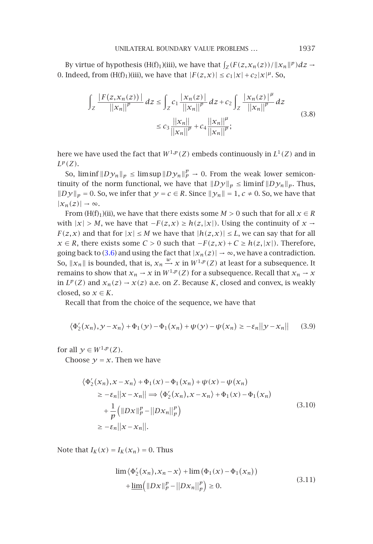#### UNILATERAL BOUNDARY VALUE PROBLEMS ... 1937

By virtue of hypothesis (H(f)<sub>1</sub>)(iii), we have that  $\int_Z (F(z, x_n(z)) / \|x_n\|^p) dz \rightarrow$ 0. Indeed, from  $(H(f)_1)(iii)$ , we have that  $|F(z,x)| \le c_1 |x| + c_2 |x|^{\mu}$ . So,

$$
\int_{Z} \frac{|F(z, x_{n}(z))|}{||x_{n}||^{p}} dz \le \int_{Z} c_{1} \frac{|x_{n}(z)|}{||x_{n}||^{p}} dz + c_{2} \int_{Z} \frac{|x_{n}(z)|^{\mu}}{||x_{n}||^{p}} dz
$$
\n
$$
\le c_{3} \frac{||x_{n}||}{||x_{n}||^{p}} + c_{4} \frac{||x_{n}||^{\mu}}{||x_{n}||^{p}};
$$
\n(3.8)

here we have used the fact that  $W^{1,p}(Z)$  embeds continuously in  $L^1(Z)$  and in *Lp(Z)*.

So,  $\liminf ||D\mathcal{Y}_n||_p \le \limsup ||D\mathcal{Y}_n||_p^p \to 0$ . From the weak lower semicontinuity of the norm functional, we have that  $\|Dy\|_p \leq \liminf \|Dy_n\|_p$ . Thus,  $||Dy||_p = 0$ . So, we infer that  $y = c \in R$ . Since  $||y_n|| = 1$ ,  $c \neq 0$ . So, we have that  $|x_n(z)| \rightarrow ∞$ .

From (H(f)<sub>1</sub>)(ii), we have that there exists some  $M > 0$  such that for all  $x \in R$ with  $|x| > M$ , we have that  $-F(z, x) ≥ h(z, |x|)$ . Using the continuity of  $x \rightarrow$ *F*(*z*,*x*) and that for  $|x| \le M$  we have that  $|h(z,x)| \le L$ , we can say that for all *x* ∈ *R*, there exists some *C* > 0 such that  $-F(z, x) + C \ge h(z, |x|)$ . Therefore, going back to (3.6) and using the fact that  $|x_n(z)| \to \infty$ , we have a contradiction. So,  $||x_n||$  is bounded, that is,  $x_n \xrightarrow{w} x$  in  $W^{1,p}(Z)$  at least for a subsequence. It remains to show that  $x_n \to x$  in  $W^{1,p}(Z)$  for a subsequence. Recall that  $x_n \to x$ in  $L^p(Z)$  and  $x_n(z) \rightarrow x(z)$  a.e. on *Z*. Because *K*, closed and convex, is weakly closed, so  $x \in K$ .

Recall that from the choice of the sequence, we have that

$$
\langle \Phi_2'(x_n), y - x_n \rangle + \Phi_1(y) - \Phi_1(x_n) + \psi(y) - \psi(x_n) \ge -\varepsilon_n ||y - x_n|| \tag{3.9}
$$

for all  $\gamma \in W^{1,p}(Z)$ .

Choose  $y = x$ . Then we have

$$
\langle \Phi'_{2}(x_{n}), x - x_{n} \rangle + \Phi_{1}(x) - \Phi_{1}(x_{n}) + \psi(x) - \psi(x_{n})
$$
  
\n
$$
\geq -\varepsilon_{n} ||x - x_{n}|| \Longrightarrow \langle \Phi'_{2}(x_{n}), x - x_{n} \rangle + \Phi_{1}(x) - \Phi_{1}(x_{n})
$$
  
\n
$$
+ \frac{1}{p} (||Dx||_{p}^{p} - ||Dx_{n}||_{p}^{p})
$$
  
\n
$$
\geq -\varepsilon_{n} ||x - x_{n}||. \tag{3.10}
$$

Note that  $I_K(x) = I_K(x_n) = 0$ . Thus

$$
\lim \langle \Phi_2'(x_n), x_n - x \rangle + \lim \left( \Phi_1(x) - \Phi_1(x_n) \right) \n+ \underline{\lim} \left( \|Dx\|_p^p - \|Dx_n\|_p^p \right) \ge 0.
$$
\n(3.11)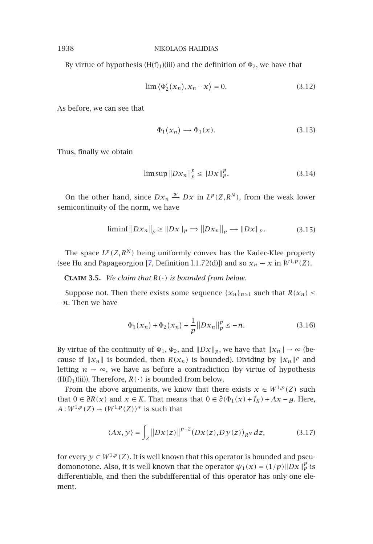By virtue of hypothesis (H(f)<sub>1</sub>)(iii) and the definition of  $\Phi_2$ , we have that

$$
\lim \langle \Phi_2'(x_n), x_n - x \rangle = 0. \tag{3.12}
$$

As before, we can see that

$$
\Phi_1(\mathbf{x}_n) \longrightarrow \Phi_1(\mathbf{x}).\tag{3.13}
$$

Thus, finally we obtain

$$
\limsup ||Dx_n||_p^p \le ||Dx||_p^p. \tag{3.14}
$$

On the other hand, since  $Dx_n \xrightarrow{w} Dx$  in  $L^p(Z, R^N)$ , from the weak lower semicontinuity of the norm, we have

$$
\liminf ||Dx_n||_p \ge ||Dx||_p \Longrightarrow ||Dx_n||_p \longrightarrow ||Dx||_p. \tag{3.15}
$$

The space  $L^p(Z, R^N)$  being uniformly convex has the Kadec-Klee property (see Hu and Papageorgiou [7, Definition I.1.72(d)]) and so  $x_n \to x$  in  $W^{1,p}(Z)$ .

**CLAIM 3.5.** We claim that  $R(\cdot)$  is bounded from below.

Suppose not. Then there exists some sequence  $\{x_n\}_{n\geq 1}$  such that  $R(x_n) \leq$ −*n*. Then we have

$$
\Phi_1(x_n) + \Phi_2(x_n) + \frac{1}{p} ||Dx_n||_p^p \le -n.
$$
\n(3.16)

By virtue of the continuity of  $\Phi_1$ ,  $\Phi_2$ , and  $||Dx||_p$ , we have that  $||x_n|| \to \infty$  (because if  $||x_n||$  is bounded, then  $R(x_n)$  is bounded). Dividing by  $||x_n||^p$  and letting  $n \to \infty$ , we have as before a contradiction (by virtue of hypothesis  $(H(f)<sub>1</sub>)(ii)$ . Therefore,  $R(\cdot)$  is bounded from below.

From the above arguments, we know that there exists  $x \in W^{1,p}(Z)$  such that  $0 ∈ ∂R(x)$  and  $x ∈ K$ . That means that  $0 ∈ ∂(Φ₁(x) + I_K) + Ax - g$ . Here, *A* :  $W^{1,p}(Z)$  →  $(W^{1,p}(Z))$ <sup>\*</sup> is such that

$$
\langle Ax, y \rangle = \int_{Z} \left\| Dx(z) \right\|^{p-2} \left( Dx(z), Dy(z) \right)_{R^N} dz, \tag{3.17}
$$

for every  $y \in W^{1,p}(Z)$ . It is well known that this operator is bounded and pseudomonotone. Also, it is well known that the operator  $\psi_1(x) = (1/p) \|Dx\|_p^p$  is differentiable, and then the subdifferential of this operator has only one element.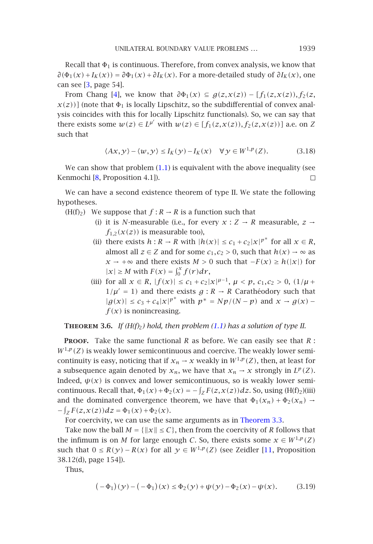## UNILATERAL BOUNDARY VALUE PROBLEMS ... 1939

Recall that  $\Phi_1$  is continuous. Therefore, from convex analysis, we know that  $∂(Φ₁(x) + I_K(x)) = ∂Φ₁(x) + ∂I_K(x)$ . For a more-detailed study of  $∂I_K(x)$ , one can see [3, page 54].

From C[han](#page-8-4)g [4], we know that  $\partial \Phi_1(x) \subseteq g(z,x(z)) - [f_1(z,x(z)), f_2(z)]$  $x(z)$ ] (note that  $\Phi_1$  is locally Lipschitz, so the subdifferential of convex analysis coincides with this for locally Lipschitz functionals). So, we can say that there exists some  $w(z) \in L^{\mu'}$  with  $w(z) \in [f_1(z,x(z)), f_2(z,x(z))]$  a.e. on *Z* such that

$$
\langle Ax, y \rangle - \langle w, y \rangle \le I_K(y) - I_K(x) \quad \forall y \in W^{1, p}(Z). \tag{3.18}
$$

We can show that problem  $(1.1)$  is equivalent with the above inequality (see Kenmochi [8, Proposition 4.1]). П

We can have a second existence theorem of type II. We state the following hypotheses.

- (H(f)<sub>2</sub>) We suppose that  $f: R \to R$  is a function such that
	- (i) it is *N*-measurable (i.e., for every  $x : Z \rightarrow R$  measurable,  $z \rightarrow$  $f_{1,2}(x(z))$  is measurable too),
	- (ii) there exists  $h: R \to R$  with  $|h(x)| \leq c_1 + c_2 |x|^{p^*}$  $|h(x)| \leq c_1 + c_2 |x|^{p^*}$  for all  $x \in R$ , almost all  $z \in Z$  and for some  $c_1, c_2 > 0$ , such that  $h(x) \to \infty$  as *x* → +∞ and there exists *M* > 0 such that  $-F(x) \ge h(|x|)$  for  $|x| \ge M$  with  $F(x) = \int_0^x f(r) dr$ ,
	- (iii) for all  $x \in R$ ,  $|f(x)| \le c_1 + c_2 |x|^{\mu-1}$ ,  $\mu < p$ ,  $c_1, c_2 > 0$ ,  $(1/\mu +$  $1/\mu' = 1$  and there exists  $g : R \to R$  Carathéodory such that  $|g(x)|$  ≤ *c*<sub>3</sub> + *c*<sub>4</sub> $|x|^{p^*}$  with  $p^* = Np/(N-p)$  and  $x → g(x)$  −  $f(x)$  is nonincreasing.

**THEOREM** 3.6. If  $(H(f_2)$  hold, then problem  $(1.1)$  has a solution of type II.

**Proof.** Take the same functional *R* as before. We [can](#page-2-0) [easily](#page-2-0) [se](#page-2-0)e that *R* :  $W^{1,p}(Z)$  is weakly lower semicontinuous and coercive. The weakly lower semicontinuity is easy, noticing that if  $x_n \to x$  weakly in  $W^{1,p}(Z)$ , t[hen](#page-8-5), at least for a subsequence again denoted by  $x_n$ , we have that  $x_n \to x$  strongly in  $L^p(Z)$ . Indeed,  $\psi(x)$  is convex and lower semicontinuous, so is weakly lower semicontinuous. Recall that,  $\Phi_1(x) + \Phi_2(x) = -\int_Z F(z, x(z))dz$ . So, using (H(f)<sub>2</sub>)(iii) and the dominated convergence theorem, we have that  $\Phi_1(x_n) + \Phi_2(x_n) \rightarrow$  $-\int_{Z} F(z, x(z)) dz = \Phi_1(x) + \Phi_2(x).$ 

For coercivity, we can use the same arguments as in Theorem 3.3.

Take now the ball  $M = \{ ||x|| \le C \}$ , then from the coercivity of *R* follows that the infimum is on *M* for large enough *C*. So, there exists some  $x \in W^{1,p}(Z)$ such that  $0 \le R(\gamma) - R(\chi)$  for all  $\gamma \in W^{1,p}(Z)$  (see Zeidler [11, Proposition 38.12(d), page 154]).

Thus,

$$
(-\Phi_1)(y) - (-\Phi_1)(x) \le \Phi_2(y) + \psi(y) - \Phi_2(x) - \psi(x). \tag{3.19}
$$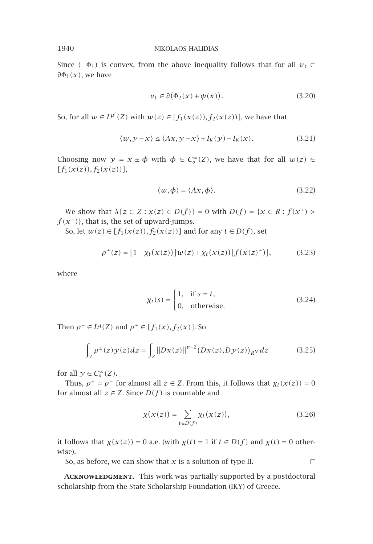Since  $(-\Phi_1)$  is convex, from the above inequality follows that for all  $v_1 \in$ *∂*Φ1*(x)*, we have

$$
v_1 \in \partial (\Phi_2(x) + \psi(x)). \tag{3.20}
$$

So, for all  $w \in L^{\mu'}(Z)$  with  $w(z) \in [f_1(x(z)), f_2(x(z))]$ , we have that

$$
\langle w, y - x \rangle \le \langle Ax, y - x \rangle + I_K(y) - I_K(x). \tag{3.21}
$$

Choosing now  $y = x \pm \phi$  with  $\phi \in C_0^{\infty}(Z)$ , we have that for all  $w(z) \in$  $[f_1(x(z)), f_2(x(z))],$ 

$$
\langle w, \phi \rangle = \langle Ax, \phi \rangle. \tag{3.22}
$$

*We show that*  $λ{z ∈ Z : x(z) ∈ D(f)} = 0$  with  $D(f) = {x ∈ R : f(x<sup>+</sup>) >}$ *f (x*−*)*}, that is, the set of upward-jumps.

So, let *w*(*z*) ∈  $[f_1(x(z)), f_2(x(z))]$  and for any *t* ∈ *D*(*f*), set

$$
\rho^{\pm}(z) = [1 - \chi_t(x(z))]w(z) + \chi_t(x(z))[f(x(z)^{\pm})], \qquad (3.23)
$$

where

$$
\chi_t(s) = \begin{cases} 1, & \text{if } s = t, \\ 0, & \text{otherwise.} \end{cases} \tag{3.24}
$$

Then  $\rho^{\pm} \in L^{q}(Z)$  and  $\rho^{\pm} \in [f_1(x), f_2(x)]$ . So

$$
\int_{Z} \rho^{\pm}(z) \mathcal{Y}(z) dz = \int_{Z} ||Dx(z)||^{p-2} (Dx(z), Dy(z))_{RN} dz
$$
\n(3.25)

for all  $y \in C_o^{\infty}(Z)$ .

Thus,  $\rho^+ = \rho^-$  for almost all  $z \in Z$ . From this, it follows that  $\chi_t(x(z)) = 0$ for almost all  $z \in Z$ . Since  $D(f)$  is countable and

$$
\chi(x(z)) = \sum_{t \in D(f)} \chi_t(x(z)),\tag{3.26}
$$

 $\Box$ 

it follows that  $\chi(x(z)) = 0$  a.e. (with  $\chi(t) = 1$  if  $t \in D(f)$  and  $\chi(t) = 0$  otherwise).

So, as before, we can show that *x* is a solution of type II.

ACKNOWLEDGMENT. This work was partially supported by a postdoctoral scholarship from the State Scholarship Foundation (IKY) of Greece.